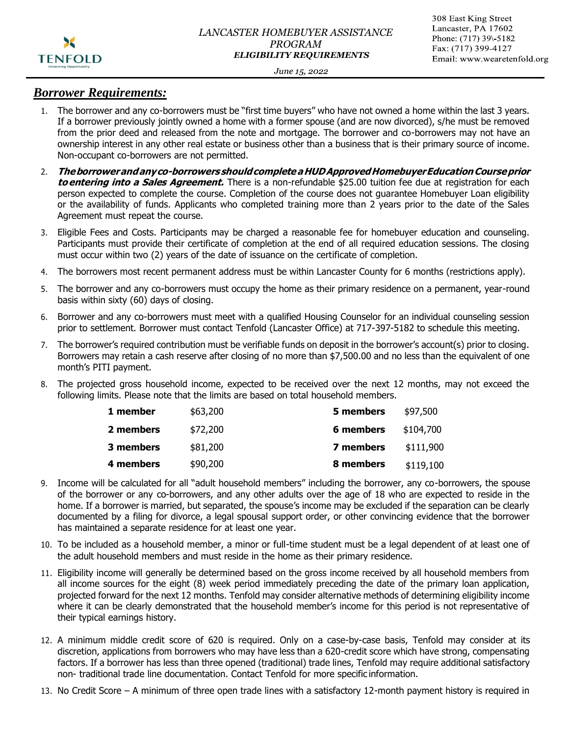

#### June 15, 2022

### *Borrower Requirements:*

- 1. The borrower and any co-borrowers must be "first time buyers" who have not owned a home within the last 3 years. If a borrower previously jointly owned a home with a former spouse (and are now divorced), s/he must be removed from the prior deed and released from the note and mortgage. The borrower and co-borrowers may not have an ownership interest in any other real estate or business other than a business that is their primary source of income. Non-occupant co-borrowers are not permitted.
- 2. **Theborrowerandanyco-borrowers shouldcompleteaHUDApprovedHomebuyerEducationCourseprior to entering into a Sales Agreement.** There is a non-refundable \$25.00 tuition fee due at registration for each person expected to complete the course. Completion of the course does not guarantee Homebuyer Loan eligibility or the availability of funds. Applicants who completed training more than 2 years prior to the date of the Sales Agreement must repeat the course.
- 3. Eligible Fees and Costs. Participants may be charged a reasonable fee for homebuyer education and counseling. Participants must provide their certificate of completion at the end of all required education sessions. The closing must occur within two (2) years of the date of issuance on the certificate of completion.
- 4. The borrowers most recent permanent address must be within Lancaster County for 6 months (restrictions apply).
- 5. The borrower and any co-borrowers must occupy the home as their primary residence on a permanent, year-round basis within sixty (60) days of closing.
- 6. Borrower and any co-borrowers must meet with a qualified Housing Counselor for an individual counseling session prior to settlement. Borrower must contact Tenfold (Lancaster Office) at 717-397-5182 to schedule this meeting.
- 7. The borrower's required contribution must be verifiable funds on deposit in the borrower's account(s) prior to closing. Borrowers may retain a cash reserve after closing of no more than \$7,500.00 and no less than the equivalent of one month's PITI payment.
- 8. The projected gross household income, expected to be received over the next 12 months, may not exceed the following limits. Please note that the limits are based on total household members.

| 1 member  | \$63,200 | 5 members | \$97,500  |
|-----------|----------|-----------|-----------|
| 2 members | \$72,200 | 6 members | \$104,700 |
| 3 members | \$81,200 | 7 members | \$111,900 |
| 4 members | \$90,200 | 8 members | \$119,100 |

- 9. Income will be calculated for all "adult household members" including the borrower, any co-borrowers, the spouse of the borrower or any co-borrowers, and any other adults over the age of 18 who are expected to reside in the home. If a borrower is married, but separated, the spouse's income may be excluded if the separation can be clearly documented by a filing for divorce, a legal spousal support order, or other convincing evidence that the borrower has maintained a separate residence for at least one year.
- 10. To be included as a household member, a minor or full-time student must be a legal dependent of at least one of the adult household members and must reside in the home as their primary residence.
- 11. Eligibility income will generally be determined based on the gross income received by all household members from all income sources for the eight (8) week period immediately preceding the date of the primary loan application, projected forward for the next 12 months. Tenfold may consider alternative methods of determining eligibility income where it can be clearly demonstrated that the household member's income for this period is not representative of their typical earnings history.
- 12. A minimum middle credit score of 620 is required. Only on a case-by-case basis, Tenfold may consider at its discretion, applications from borrowers who may have less than a 620-credit score which have strong, compensating factors. If a borrower has less than three opened (traditional) trade lines, Tenfold may require additional satisfactory non- traditional trade line documentation. Contact Tenfold for more specific information.
- 13. No Credit Score A minimum of three open trade lines with a satisfactory 12-month payment history is required in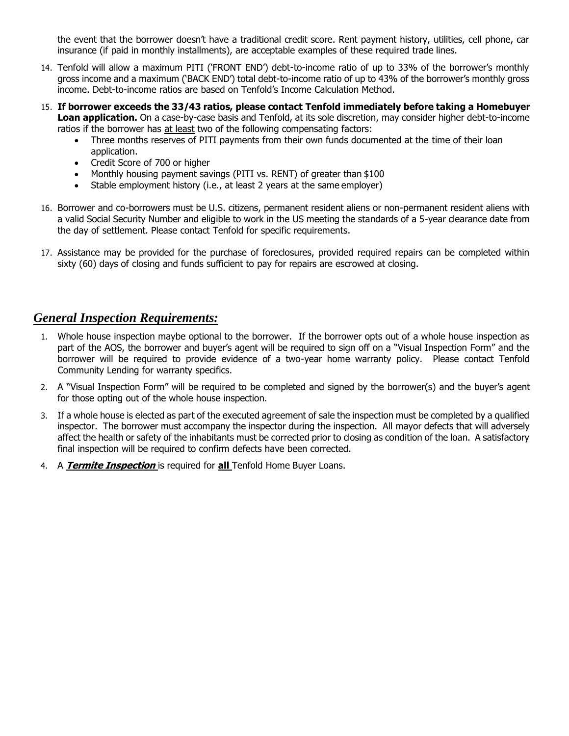the event that the borrower doesn't have a traditional credit score. Rent payment history, utilities, cell phone, car insurance (if paid in monthly installments), are acceptable examples of these required trade lines.

- 14. Tenfold will allow a maximum PITI ('FRONT END') debt-to-income ratio of up to 33% of the borrower's monthly gross income and a maximum ('BACK END') total debt-to-income ratio of up to 43% of the borrower's monthly gross income. Debt-to-income ratios are based on Tenfold's Income Calculation Method.
- 15. **If borrower exceeds the 33/43 ratios, please contact Tenfold immediately before taking a Homebuyer Loan application.** On a case-by-case basis and Tenfold, at its sole discretion, may consider higher debt-to-income ratios if the borrower has at least two of the following compensating factors:
	- Three months reserves of PITI payments from their own funds documented at the time of their loan application.
	- Credit Score of 700 or higher
	- Monthly housing payment savings (PITI vs. RENT) of greater than \$100
	- Stable employment history (i.e., at least 2 years at the same employer)
- 16. Borrower and co-borrowers must be U.S. citizens, permanent resident aliens or non-permanent resident aliens with a valid Social Security Number and eligible to work in the US meeting the standards of a 5-year clearance date from the day of settlement. Please contact Tenfold for specific requirements.
- 17. Assistance may be provided for the purchase of foreclosures, provided required repairs can be completed within sixty (60) days of closing and funds sufficient to pay for repairs are escrowed at closing.

## *General Inspection Requirements:*

- 1. Whole house inspection maybe optional to the borrower. If the borrower opts out of a whole house inspection as part of the AOS, the borrower and buyer's agent will be required to sign off on a "Visual Inspection Form" and the borrower will be required to provide evidence of a two-year home warranty policy. Please contact Tenfold Community Lending for warranty specifics.
- 2. A "Visual Inspection Form" will be required to be completed and signed by the borrower(s) and the buyer's agent for those opting out of the whole house inspection.
- 3. If a whole house is elected as part of the executed agreement of sale the inspection must be completed by a qualified inspector. The borrower must accompany the inspector during the inspection. All mayor defects that will adversely affect the health or safety of the inhabitants must be corrected prior to closing as condition of the loan. A satisfactory final inspection will be required to confirm defects have been corrected.
- 4. A **Termite Inspection** is required for **all** Tenfold Home Buyer Loans.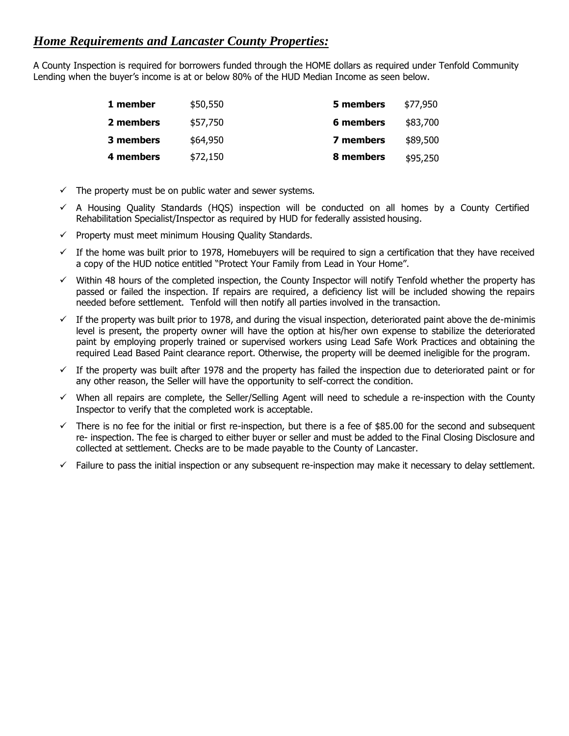# *Home Requirements and Lancaster County Properties:*

A County Inspection is required for borrowers funded through the HOME dollars as required under Tenfold Community Lending when the buyer's income is at or below 80% of the HUD Median Income as seen below.

| 1 member  | \$50,550 | 5 members | \$77,950 |
|-----------|----------|-----------|----------|
| 2 members | \$57,750 | 6 members | \$83,700 |
| 3 members | \$64,950 | 7 members | \$89,500 |
| 4 members | \$72,150 | 8 members | \$95,250 |

- $\checkmark$  The property must be on public water and sewer systems.
- $\checkmark$  A Housing Quality Standards (HQS) inspection will be conducted on all homes by a County Certified Rehabilitation Specialist/Inspector as required by HUD for federally assisted housing.
- $\checkmark$  Property must meet minimum Housing Quality Standards.
- $\checkmark$  If the home was built prior to 1978, Homebuyers will be required to sign a certification that they have received a copy of the HUD notice entitled "Protect Your Family from Lead in Your Home".
- $\checkmark$  Within 48 hours of the completed inspection, the County Inspector will notify Tenfold whether the property has passed or failed the inspection. If repairs are required, a deficiency list will be included showing the repairs needed before settlement. Tenfold will then notify all parties involved in the transaction.
- $\checkmark$  If the property was built prior to 1978, and during the visual inspection, deteriorated paint above the de-minimis level is present, the property owner will have the option at his/her own expense to stabilize the deteriorated paint by employing properly trained or supervised workers using Lead Safe Work Practices and obtaining the required Lead Based Paint clearance report. Otherwise, the property will be deemed ineligible for the program.
- $\checkmark$  If the property was built after 1978 and the property has failed the inspection due to deteriorated paint or for any other reason, the Seller will have the opportunity to self-correct the condition.
- ✓ When all repairs are complete, the Seller/Selling Agent will need to schedule a re-inspection with the County Inspector to verify that the completed work is acceptable.
- $\checkmark$  There is no fee for the initial or first re-inspection, but there is a fee of \$85.00 for the second and subsequent re- inspection. The fee is charged to either buyer or seller and must be added to the Final Closing Disclosure and collected at settlement. Checks are to be made payable to the County of Lancaster.
- $\checkmark$  Failure to pass the initial inspection or any subsequent re-inspection may make it necessary to delay settlement.